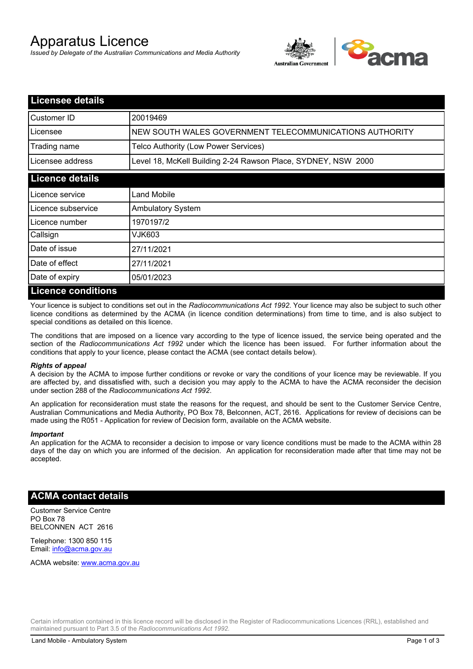# Apparatus Licence

*Issued by Delegate of the Australian Communications and Media Authority*



| <b>Licensee details</b> |                                                               |  |  |
|-------------------------|---------------------------------------------------------------|--|--|
| Customer ID             | 20019469                                                      |  |  |
| Licensee                | NEW SOUTH WALES GOVERNMENT TELECOMMUNICATIONS AUTHORITY       |  |  |
| Trading name            | Telco Authority (Low Power Services)                          |  |  |
| Licensee address        | Level 18, McKell Building 2-24 Rawson Place, SYDNEY, NSW 2000 |  |  |
| <b>Licence details</b>  |                                                               |  |  |
| l Licence service       | Land Mobile                                                   |  |  |
| Licence subservice      | <b>Ambulatory System</b>                                      |  |  |
| Licence number          | 1970197/2                                                     |  |  |
| Callsign                | VJK603                                                        |  |  |
| Date of issue           | 27/11/2021                                                    |  |  |
| Date of effect          | 27/11/2021                                                    |  |  |
| Date of expiry          | 05/01/2023                                                    |  |  |
| Licance conditions      |                                                               |  |  |

## **Licence conditions**

Your licence is subject to conditions set out in the *Radiocommunications Act 1992*. Your licence may also be subject to such other licence conditions as determined by the ACMA (in licence condition determinations) from time to time, and is also subject to special conditions as detailed on this licence.

The conditions that are imposed on a licence vary according to the type of licence issued, the service being operated and the section of the *Radiocommunications Act 1992* under which the licence has been issued. For further information about the conditions that apply to your licence, please contact the ACMA (see contact details below).

#### *Rights of appeal*

A decision by the ACMA to impose further conditions or revoke or vary the conditions of your licence may be reviewable. If you are affected by, and dissatisfied with, such a decision you may apply to the ACMA to have the ACMA reconsider the decision under section 288 of the *Radiocommunications Act 1992*.

An application for reconsideration must state the reasons for the request, and should be sent to the Customer Service Centre, Australian Communications and Media Authority, PO Box 78, Belconnen, ACT, 2616. Applications for review of decisions can be made using the R051 - Application for review of Decision form, available on the ACMA website.

#### *Important*

An application for the ACMA to reconsider a decision to impose or vary licence conditions must be made to the ACMA within 28 days of the day on which you are informed of the decision. An application for reconsideration made after that time may not be accepted.

#### **ACMA contact details**

Customer Service Centre PO Box 78 BELCONNEN ACT 2616

Telephone: 1300 850 115 Email: info@acma.gov.au

ACMA website: www.acma.gov.au

Certain information contained in this licence record will be disclosed in the Register of Radiocommunications Licences (RRL), established and maintained pursuant to Part 3.5 of the *Radiocommunications Act 1992.*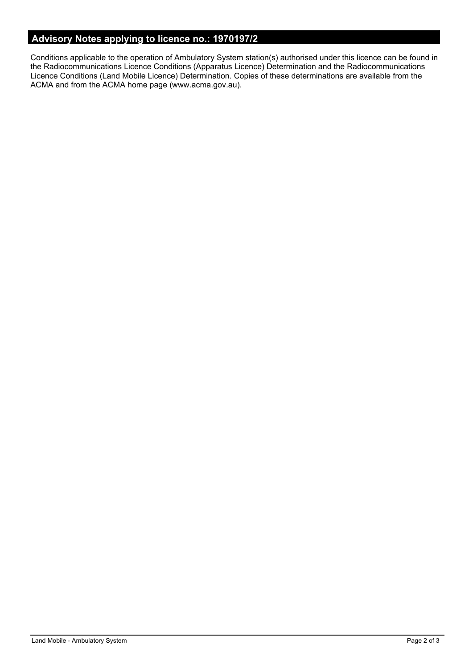# **Advisory Notes applying to licence no.: 1970197/2**

Conditions applicable to the operation of Ambulatory System station(s) authorised under this licence can be found in the Radiocommunications Licence Conditions (Apparatus Licence) Determination and the Radiocommunications Licence Conditions (Land Mobile Licence) Determination. Copies of these determinations are available from the ACMA and from the ACMA home page (www.acma.gov.au).